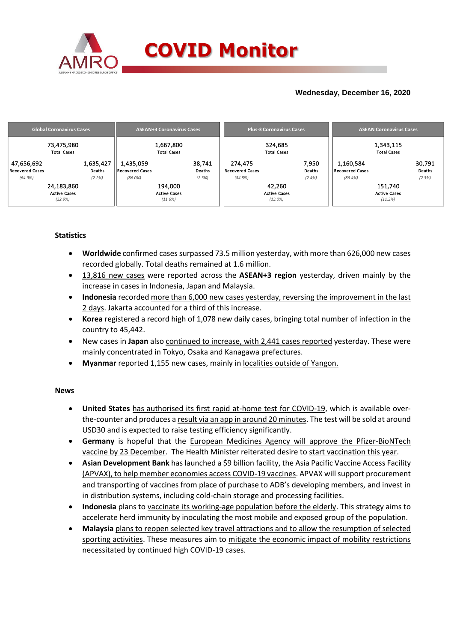

## **Wednesday, December 16, 2020**

| <b>Global Coronavirus Cases</b> | <b>ASEAN+3 Coronavirus Cases</b> | <b>Plus-3 Coronavirus Cases</b> | <b>ASEAN Coronavirus Cases</b> |  |  |  |
|---------------------------------|----------------------------------|---------------------------------|--------------------------------|--|--|--|
| 73,475,980                      | 1,667,800                        | 324,685                         | 1,343,115                      |  |  |  |
| <b>Total Cases</b>              | <b>Total Cases</b>               | <b>Total Cases</b>              | <b>Total Cases</b>             |  |  |  |
| 1,635,427                       | 1,435,059                        | 274,475                         | 30,791                         |  |  |  |
| 47,656,692                      | 38,741                           | 7,950                           | 1,160,584                      |  |  |  |
| Recovered Cases                 | Deaths                           | <b>Recovered Cases</b>          | Deaths                         |  |  |  |
| Deaths                          | <b>Recovered Cases</b>           | Deaths                          | Recovered Cases                |  |  |  |
| (2.2%)                          | (2.3%)                           | (84.5%)                         | (2.3%)                         |  |  |  |
| (64.9%)                         | $(86.0\%)$                       | $(2.4\%)$                       | (86.4%)                        |  |  |  |
| 24,183,860                      | 194,000                          | 42.260                          | 151,740                        |  |  |  |
| <b>Active Cases</b>             | <b>Active Cases</b>              | <b>Active Cases</b>             | <b>Active Cases</b>            |  |  |  |
| (32.9%)                         | (11.6%)                          | $(13.0\%)$                      | (11.3%)                        |  |  |  |

## **Statistics**

- **Worldwide** confirmed cases surpassed 73.5 million yesterday, with more than 626,000 new cases recorded globally. Total deaths remained at 1.6 million.
- 13,816 new cases were reported across the **ASEAN+3 region** yesterday, driven mainly by the increase in cases in Indonesia, Japan and Malaysia.
- **Indonesia** recorded more than 6,000 new cases yesterday, reversing the improvement in the last 2 days. Jakarta accounted for a third of this increase.
- **Korea** registered a record high of 1,078 new daily cases, bringing total number of infection in the country to 45,442.
- New cases in **Japan** also continued to increase, with 2,441 cases reported yesterday. These were mainly concentrated in Tokyo, Osaka and Kanagawa prefectures.
- **Myanmar** reported 1,155 new cases, mainly in localities outside of Yangon.

### **News**

- **United States** has authorised its first rapid at-home test for COVID-19, which is available overthe-counter and produces a result via an app in around 20 minutes. The test will be sold at around USD30 and is expected to raise testing efficiency significantly.
- **Germany** is hopeful that the European Medicines Agency will approve the Pfizer-BioNTech vaccine by 23 December. The Health Minister reiterated desire to start vaccination this year.
- **Asian Development Bank** has launched a \$9 billion facility, the Asia Pacific Vaccine Access Facility (APVAX), to help member economies access COVID-19 vaccines. APVAX will support procurement and transporting of vaccines from place of purchase to ADB's developing members, and invest in in distribution systems, including cold-chain storage and processing facilities.
- **Indonesia** plans to vaccinate its working-age population before the elderly. This strategy aims to accelerate herd immunity by inoculating the most mobile and exposed group of the population.
- **Malaysia** plans to reopen selected key travel attractions and to allow the resumption of selected sporting activities. These measures aim to mitigate the economic impact of mobility restrictions necessitated by continued high COVID-19 cases.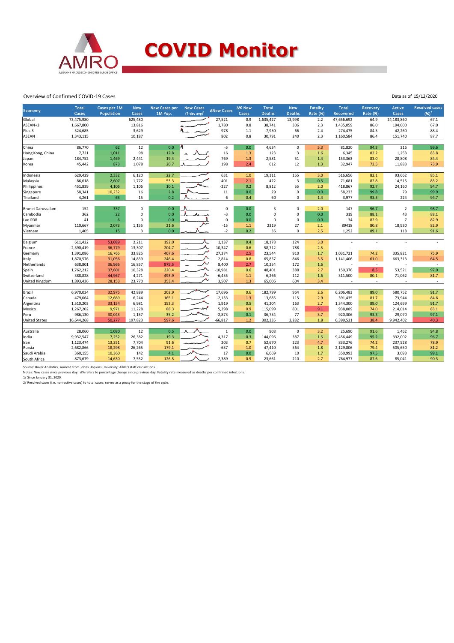

#### Overview of Confirmed COVID-19 Cases

| <b>Economy</b>       | <b>Total</b><br>Cases | Cases per 1M<br>Population | <b>New</b><br>Cases | New Cases per<br>1M Pop. | <b>New Cases</b><br>$(7$ -day avg $)^1$ | ∆New Cases   | ∆% New<br>Cases | <b>Total</b><br><b>Deaths</b> | <b>New</b><br><b>Deaths</b> | <b>Fatality</b><br><b>Rate (%)</b> | <b>Total</b><br><b>Recovered</b> | <b>Recovery</b><br><b>Rate (%)</b> | <b>Active</b><br>Cases | <b>Resolved cases</b><br>$(96)^2$ |
|----------------------|-----------------------|----------------------------|---------------------|--------------------------|-----------------------------------------|--------------|-----------------|-------------------------------|-----------------------------|------------------------------------|----------------------------------|------------------------------------|------------------------|-----------------------------------|
| Global               | 73,475,980            |                            | 625,480             |                          |                                         | 27,521       | 0.9             | 1,635,427                     | 13,998                      | 2.2                                | 47,656,692                       | 64.9                               | 24,183,860             | 67.1                              |
| ASEAN+3              | 1,667,800             |                            | 13,816              |                          |                                         | 1,780        | 0.8             | 38,741                        | 306                         | 2.3                                | 1,435,059                        | 86.0                               | 194,000                | 67.0                              |
| Plus-3               | 324,685               |                            | 3,629               |                          |                                         | 978          | 1.1             | 7,950                         | 66                          | 2.4                                | 274,475                          | 84.5                               | 42,260                 | 88.4                              |
| <b>ASEAN</b>         | 1,343,115             |                            | 10,187              |                          |                                         | 802          | $0.8\,$         | 30,791                        | 240                         | 2.3                                | 1,160,584                        | 86.4                               | 151,740                | 87.7                              |
|                      |                       |                            |                     |                          |                                         |              |                 |                               |                             |                                    |                                  |                                    |                        |                                   |
| China                | 86,770                | 62                         | 12                  | 0.0                      |                                         | $-5$         | 0.0             | 4,634                         | $\mathbf 0$                 | 5.3                                | 81,820                           | 94.3                               | 316                    | 99.6                              |
| Hong Kong, China     | 7,721                 | 1,011                      | 98                  | 12.8                     |                                         | 16           | 1.3             | 123                           | 3                           | 1.6                                | 6,345                            | 82.2                               | 1,253                  | 83.8                              |
| Japan                | 184,752               | 1,469                      | 2,441               | 19.4                     |                                         | 769          | 1.3             | 2,581                         | 51                          | 1.4                                | 153,363                          | 83.0                               | 28,808                 | 84.4                              |
| Korea                | 45,442                | 873                        | 1,078               | 20.7                     |                                         | 198          | 2.4             | 612                           | 12                          | 1.3                                | 32,947                           | 72.5                               | 11,883                 | 73.9                              |
|                      |                       |                            |                     |                          |                                         |              |                 |                               |                             |                                    |                                  |                                    |                        |                                   |
| Indonesia            | 629,429               | 2,332                      | 6,120               | 22.7                     |                                         | 631          | 1.0             | 19,111                        | 155                         | 3.0                                | 516,656                          | 82.1                               | 93,662                 | 85.1                              |
| Malaysia             | 86,618                | 2,607                      | 1,772               | 53.3                     |                                         | 401          | 2.1             | 422                           | $\overline{3}$              | 0.5                                | 71,681                           | 82.8                               | 14,515                 | 83.2                              |
| Philippines          | 451,839               | 4,106                      | 1,106               | 10.1                     |                                         | $-227$       | 0.2             | 8,812                         | 55                          | 2.0                                | 418,867                          | 92.7                               | 24,160                 | 94.7                              |
| Singapore            | 58,341                | 10,232                     | 16                  | 2.8                      |                                         | 11           | $0.0\,$         | 29                            | $\mathbf 0$                 | 0.0                                | 58,233                           | 99.8                               | 79                     | 99.9                              |
| Thailand             | 4,261                 | 63                         | 15                  | 0.2                      |                                         | 6            | 0.4             | 60                            | 0                           | 1.4                                | 3,977                            | 93.3                               | 224                    | 94.7                              |
| Brunei Darussalam    | 152                   | 337                        | $\mathbf 0$         | 0.0                      |                                         | $\mathbf 0$  | 0.0             | $\overline{3}$                | $\mathbf 0$                 | 2.0                                | 147                              | 96.7                               | $\overline{2}$         | 98.7                              |
| Cambodia             | 362                   | 22                         | 0                   | 0.0                      |                                         | $-3$         | 0.0             | 0                             | $\mathsf 0$                 | 0.0                                | 319                              | 88.1                               | 43                     | 88.1                              |
| Lao PDR              | 41                    | $6\phantom{1}6$            | $\mathbf 0$         | 0.0                      |                                         | $\mathbf 0$  | 0.0             | $\Omega$                      | $\mathbf 0$                 | 0.0                                | 34                               | 82.9                               | $\overline{7}$         | 82.9                              |
| Myanmar              | 110,667               | 2,073                      | 1,155               | 21.6                     |                                         | $-15$        | 1.1             | 2319                          | 27                          | 2.1                                | 89418                            | 80.8                               | 18,930                 | 82.9                              |
| Vietnam              | 1,405                 | 15                         | 3                   | 0.0                      |                                         | $-2$         | 0.2             | 35                            | $\Omega$                    | 2.5                                | 1,252                            | 89.1                               | 118                    | 91.6                              |
|                      |                       |                            |                     |                          |                                         |              |                 |                               |                             |                                    |                                  |                                    |                        |                                   |
| Belgium              | 611,422               | 53,089                     | 2,211               | 192.0                    |                                         | 1,137        | 0.4             | 18,178                        | 124                         | 3.0                                |                                  |                                    |                        |                                   |
| France               | 2,390,419             | 36,779                     | 13,307              | 204.7                    |                                         | 10,347       | 0.6             | 58,712                        | 788                         | 2.5                                |                                  |                                    |                        |                                   |
| Germany              | 1,391,086             | 16,765                     | 33,825              | 407.6                    |                                         | 27,374       | 2.5             | 23,544                        | 910                         | 1.7                                | 1,031,721                        | 74.2                               | 335,821                | 75.9                              |
| Italy                | 1,870,576             | 31,056                     | 14,839              | 246.4                    |                                         | 2,814        | 0.8             | 65,857                        | 846                         | 3.5                                | 1,141,406                        | 61.0                               | 663,313                | 64.5                              |
| Netherlands          | 638,801               | 36,966                     | 16,857              | 975.5                    |                                         | 8,400        | 2.7             | 10,254                        | 172                         | 1.6                                | ٠                                | $\sim$                             | $\overline{a}$         | $\sim$                            |
| Spain                | 1,762,212             | 37,601                     | 10,328              | 220.4                    |                                         | $-10,981$    | 0.6             | 48,401                        | 388                         | 2.7                                | 150,376                          | 8.5                                | 53,521                 | 97.0                              |
| Switzerland          | 388,828               | 44,967                     | 4,271               | 493.9                    |                                         | $-6,455$     | 1.1             | 6,266                         | 112                         | 1.6                                | 311,500                          | 80.1                               | 71,062                 | 81.7                              |
| United Kingdom       | 1,893,436             | 28,153                     | 23,770              | 353.4                    |                                         | 3,507        | 1.3             | 65,006                        | 604                         | 3.4                                | $\overline{a}$                   | ÷                                  |                        | $\sim$                            |
|                      |                       |                            |                     |                          |                                         |              |                 |                               |                             |                                    |                                  |                                    |                        |                                   |
| Brazil               | 6,970,034             | 32,975                     | 42,889              | 202.9                    | رسيدا                                   | 17,696       | 0.6             | 182,799                       | 964                         | 2.6                                | 6,206,483                        | 89.0                               | 580,752                | 91.7                              |
| Canada               | 479,064               | 12,669                     | 6,244               | 165.1                    |                                         | $-2,133$     | 1.3             | 13,685                        | 115                         | 2.9                                | 391,435                          | 81.7                               | 73,944                 | 84.6                              |
| Argentina            | 1,510,203             | 33,154                     | 6,981               | 153.3                    |                                         | 1,919        | 0.5             | 41,204                        | 163                         | 2.7                                | 1,344,300                        | 89.0                               | 124,699                | 91.7                              |
| Mexico               | 1,267,202             | 9,971                      | 11,228              | 88.3                     |                                         | 5,298        | 0.9             | 115,099                       | 801                         | 9.1                                | 938,089                          | 74.0                               | 214,014                | 83.1                              |
| Peru                 | 986,130               | 30,043                     | 1,157               | 35.2                     |                                         | $-2,873$     | 0.1             | 36,754                        | 77                          | 3.7                                | 920,306                          | 93.3                               | 29,070                 | 97.1                              |
| <b>United States</b> | 16,644,268            | 50,277                     | 197,823             | 597.6                    |                                         | $-66,817$    | 1.2             | 302,335                       | 3,282                       | 1.8                                | 6,399,531                        | 38.4                               | 9,942,402              | 40.3                              |
|                      |                       |                            |                     |                          |                                         |              |                 |                               |                             |                                    |                                  |                                    |                        |                                   |
| Australia            | 28,060                | 1,080                      | 12                  | 0.5                      |                                         | $\mathbf{1}$ | 0.0             | 908                           | $\mathbf 0$                 | 3.2                                | 25,690                           | 91.6                               | 1,462                  | 94.8                              |
| India                | 9,932,547             | 7,252                      | 26,382              | 19.3                     |                                         | 4,317        | 0.3             | 144,096                       | 387                         | 1.5                                | 9,456,449                        | 95.2                               | 332,002                | 96.7                              |
| Iran                 | 1,123,474             | 13,351                     | 7,704               | 91.6                     |                                         | 203          | 0.7             | 52,670                        | 223                         | 4.7                                | 833,276                          | 74.2                               | 237,528                | 78.9                              |
| Russia               | 2,682,866             | 18,298                     | 26,265              | 179.1                    |                                         | $-637$       | 1.0             | 47,410                        | 564                         | 1.8                                | 2,129,806                        | 79.4                               | 505,650                | 81.2                              |
| Saudi Arabia         | 360,155               | 10,360                     | 142                 | 4.1                      |                                         | 17           | 0.0             | 6,069                         | 10                          | 1.7                                | 350,993                          | 97.5                               | 3,093                  | 99.1                              |
| South Africa         | 873,679               | 14,630                     | 7,552               | 126.5                    |                                         | 2,389        | 0.9             | 23,661                        | 210                         | 2.7                                | 764,977                          | 87.6                               | 85,041                 | 90.3                              |

Source: Haver Analytics, sourced from Johns Hopkins University; AMRO staff calculations.<br>Notes: New cases since previous day. ∆% refers to percentage change since previous day. Fatality rate measured as deaths per confirme

Data as of 15/12/2020